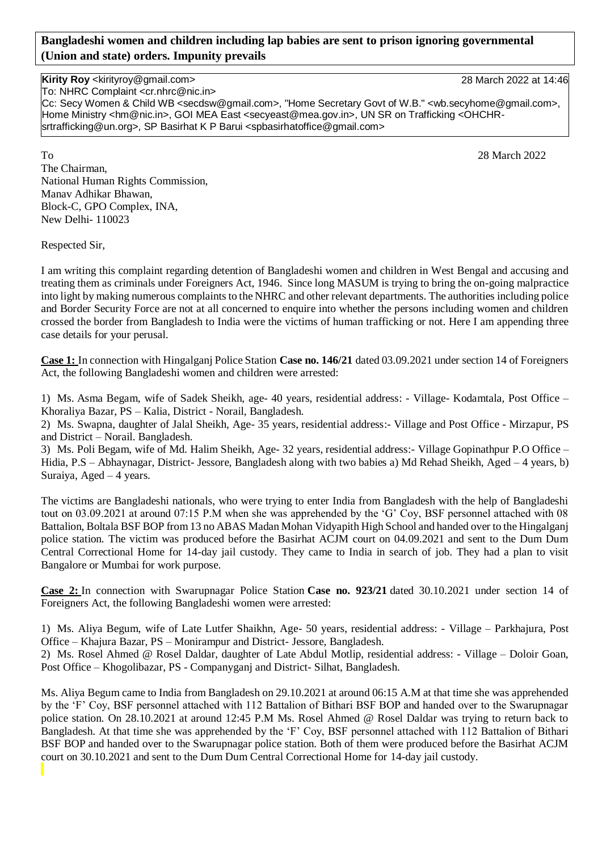## **Bangladeshi women and children including lap babies are sent to prison ignoring governmental (Union and state) orders. Impunity prevails**

## **Kirity Roy** <kirityroy@gmail.com> 28 March 2022 at 14:46

To: NHRC Complaint <cr.nhrc@nic.in>

Cc: Secy Women & Child WB <secdsw@gmail.com>, "Home Secretary Govt of W.B." <wb.secyhome@gmail.com>, Home Ministry <hm@nic.in>, GOI MEA East <secyeast@mea.gov.in>, UN SR on Trafficking <OHCHRsrtrafficking@un.org>, SP Basirhat K P Barui <spbasirhatoffice@gmail.com>

To 28 March 2022 The Chairman, National Human Rights Commission, Manav Adhikar Bhawan, Block-C, GPO Complex, INA, New Delhi- 110023

Respected Sir,

I am writing this complaint regarding detention of Bangladeshi women and children in West Bengal and accusing and treating them as criminals under Foreigners Act, 1946. Since long MASUM is trying to bring the on-going malpractice into light by making numerous complaints to the NHRC and other relevant departments. The authorities including police and Border Security Force are not at all concerned to enquire into whether the persons including women and children crossed the border from Bangladesh to India were the victims of human trafficking or not. Here I am appending three case details for your perusal.

**Case 1:** In connection with Hingalganj Police Station **Case no. 146/21** dated 03.09.2021 under section 14 of Foreigners Act, the following Bangladeshi women and children were arrested:

1) Ms. Asma Begam, wife of Sadek Sheikh, age- 40 years, residential address: - Village- Kodamtala, Post Office – Khoraliya Bazar, PS – Kalia, District - Norail, Bangladesh.

2) Ms. Swapna, daughter of Jalal Sheikh, Age- 35 years, residential address:- Village and Post Office - Mirzapur, PS and District – Norail. Bangladesh.

3) Ms. Poli Begam, wife of Md. Halim Sheikh, Age- 32 years, residential address:- Village Gopinathpur P.O Office – Hidia, P.S – Abhaynagar, District- Jessore, Bangladesh along with two babies a) Md Rehad Sheikh, Aged – 4 years, b) Suraiya, Aged – 4 years.

The victims are Bangladeshi nationals, who were trying to enter India from Bangladesh with the help of Bangladeshi tout on 03.09.2021 at around 07:15 P.M when she was apprehended by the 'G' Coy, BSF personnel attached with 08 Battalion, Boltala BSF BOP from 13 no ABAS Madan Mohan Vidyapith High School and handed over to the Hingalganj police station. The victim was produced before the Basirhat ACJM court on 04.09.2021 and sent to the Dum Dum Central Correctional Home for 14-day jail custody. They came to India in search of job. They had a plan to visit Bangalore or Mumbai for work purpose.

**Case 2:** In connection with Swarupnagar Police Station **Case no. 923/21** dated 30.10.2021 under section 14 of Foreigners Act, the following Bangladeshi women were arrested:

1) Ms. Aliya Begum, wife of Late Lutfer Shaikhn, Age- 50 years, residential address: - Village – Parkhajura, Post Office – Khajura Bazar, PS – Monirampur and District- Jessore, Bangladesh.

2) Ms. Rosel Ahmed @ Rosel Daldar, daughter of Late Abdul Motlip, residential address: - Village – Doloir Goan, Post Office – Khogolibazar, PS - Companyganj and District- Silhat, Bangladesh.

Ms. Aliya Begum came to India from Bangladesh on 29.10.2021 at around 06:15 A.M at that time she was apprehended by the 'F' Coy, BSF personnel attached with 112 Battalion of Bithari BSF BOP and handed over to the Swarupnagar police station. On 28.10.2021 at around 12:45 P.M Ms. Rosel Ahmed @ Rosel Daldar was trying to return back to Bangladesh. At that time she was apprehended by the 'F' Coy, BSF personnel attached with 112 Battalion of Bithari BSF BOP and handed over to the Swarupnagar police station. Both of them were produced before the Basirhat ACJM court on 30.10.2021 and sent to the Dum Dum Central Correctional Home for 14-day jail custody.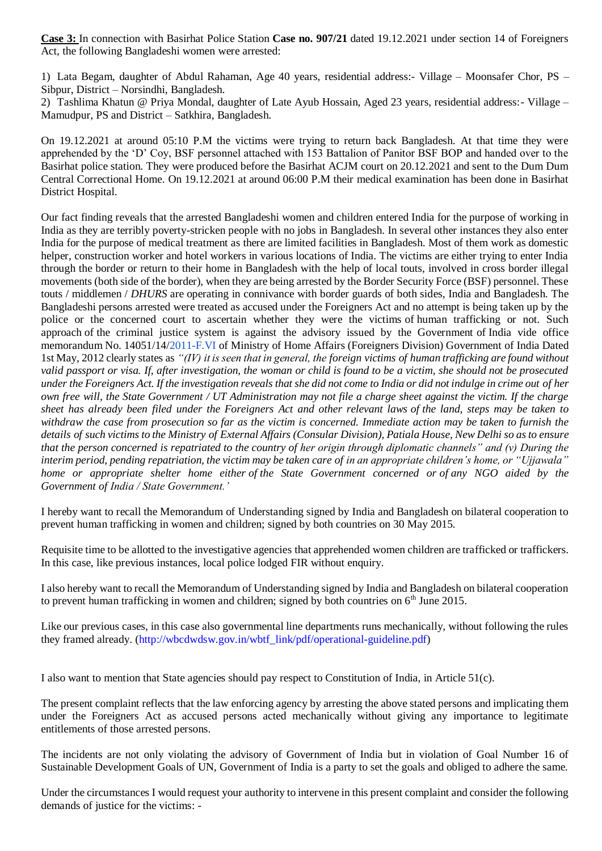**Case 3:** In connection with Basirhat Police Station **Case no. 907/21** dated 19.12.2021 under section 14 of Foreigners Act, the following Bangladeshi women were arrested:

1) Lata Begam, daughter of Abdul Rahaman, Age 40 years, residential address:- Village – Moonsafer Chor, PS – Sibpur, District – Norsindhi, Bangladesh.

2) Tashlima Khatun @ Priya Mondal, daughter of Late Ayub Hossain, Aged 23 years, residential address:- Village – Mamudpur, PS and District – Satkhira, Bangladesh.

On 19.12.2021 at around 05:10 P.M the victims were trying to return back Bangladesh. At that time they were apprehended by the 'D' Coy, BSF personnel attached with 153 Battalion of Panitor BSF BOP and handed over to the Basirhat police station. They were produced before the Basirhat ACJM court on 20.12.2021 and sent to the Dum Dum Central Correctional Home. On 19.12.2021 at around 06:00 P.M their medical examination has been done in Basirhat District Hospital.

Our fact finding reveals that the arrested Bangladeshi women and children entered India for the purpose of working in India as they are terribly poverty-stricken people with no jobs in Bangladesh. In several other instances they also enter India for the purpose of medical treatment as there are limited facilities in Bangladesh. Most of them work as domestic helper, construction worker and hotel workers in various locations of India. The victims are either trying to enter India through the border or return to their home in Bangladesh with the help of local touts, involved in cross border illegal movements (both side of the border), when they are being arrested by the Border Security Force (BSF) personnel. These touts / middlemen / *DHURS* are operating in connivance with border guards of both sides, India and Bangladesh. The Bangladeshi persons arrested were treated as accused under the Foreigners Act and no attempt is being taken up by the police or the concerned court to ascertain whether they were the victims of human trafficking or not. Such approach of the criminal justice system is against the advisory issued by the Government of India vide office memorandum No. 14051/14[/2011-F.VI](http://2011-f.vi/) of Ministry of Home Affairs (Foreigners Division) Government of India Dated 1st May, 2012 clearly states as *"(IV) it is seen that in general, the foreign victims of human trafficking are found without valid passport or visa. If, after investigation, the woman or child is found to be a victim, she should not be prosecuted under the Foreigners Act. If the investigation reveals that she did not come to India or did not indulge in crime out of her own free will, the State Government / UT Administration may not file a charge sheet against the victim. If the charge sheet has already been filed under the Foreigners Act and other relevant laws of the land, steps may be taken to withdraw the case from prosecution so far as the victim is concerned. Immediate action may be taken to furnish the details of such victims to the Ministry of External Affairs (Consular Division), Patiala House, New Delhi so as to ensure that the person concerned is repatriated to the country of her origin through diplomatic channels" and (v) During the interim period, pending repatriation, the victim may be taken care of in an appropriate children's home, or "Ujjawala" home or appropriate shelter home either of the State Government concerned or of any NGO aided by the Government of India / State Government.'*

I hereby want to recall the Memorandum of Understanding signed by India and Bangladesh on bilateral cooperation to prevent human trafficking in women and children; signed by both countries on 30 May 2015.

Requisite time to be allotted to the investigative agencies that apprehended women children are trafficked or traffickers. In this case, like previous instances, local police lodged FIR without enquiry.

I also hereby want to recall the Memorandum of Understanding signed by India and Bangladesh on bilateral cooperation to prevent human trafficking in women and children; signed by both countries on  $6<sup>th</sup>$  June 2015.

Like our previous cases, in this case also governmental line departments runs mechanically, without following the rules they framed already. [\(http://wbcdwdsw.gov.in/wbtf\\_link/pdf/operational-guideline.pdf\)](http://wbcdwdsw.gov.in/wbtf_link/pdf/operational-guideline.pdf)

I also want to mention that State agencies should pay respect to Constitution of India, in Article 51(c).

The present complaint reflects that the law enforcing agency by arresting the above stated persons and implicating them under the Foreigners Act as accused persons acted mechanically without giving any importance to legitimate entitlements of those arrested persons.

The incidents are not only violating the advisory of Government of India but in violation of Goal Number 16 of Sustainable Development Goals of UN, Government of India is a party to set the goals and obliged to adhere the same.

Under the circumstances I would request your authority to intervene in this present complaint and consider the following demands of justice for the victims: -